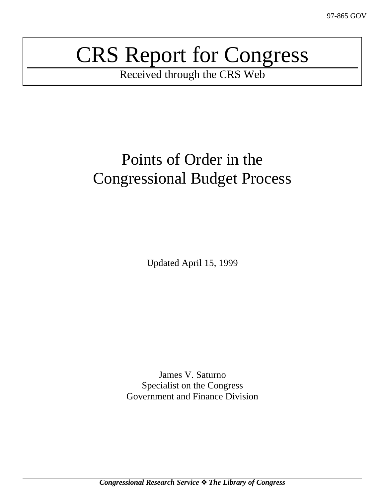# CRS Report for Congress

Received through the CRS Web

## Points of Order in the Congressional Budget Process

Updated April 15, 1999

James V. Saturno Specialist on the Congress Government and Finance Division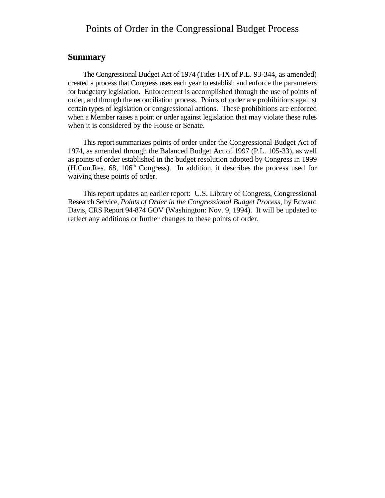#### Points of Order in the Congressional Budget Process

#### **Summary**

The Congressional Budget Act of 1974 (Titles I-IX of P.L. 93-344, as amended) created a process that Congress uses each year to establish and enforce the parameters for budgetary legislation. Enforcement is accomplished through the use of points of order, and through the reconciliation process. Points of order are prohibitions against certain types of legislation or congressional actions. These prohibitions are enforced when a Member raises a point or order against legislation that may violate these rules when it is considered by the House or Senate.

This report summarizes points of order under the Congressional Budget Act of 1974, as amended through the Balanced Budget Act of 1997 (P.L. 105-33), as well as points of order established in the budget resolution adopted by Congress in 1999 (H.Con.Res. 68, 106<sup>th</sup> Congress). In addition, it describes the process used for waiving these points of order.

This report updates an earlier report: U.S. Library of Congress, Congressional Research Service, *Points of Order in the Congressional Budget Process*, by Edward Davis, CRS Report 94-874 GOV (Washington: Nov. 9, 1994). It will be updated to reflect any additions or further changes to these points of order.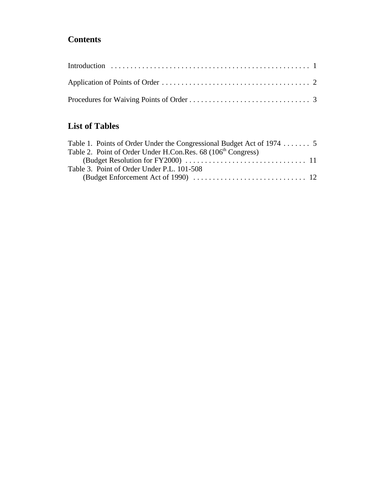#### **Contents**

#### **List of Tables**

| Table 1. Points of Order Under the Congressional Budget Act of 1974  5 |
|------------------------------------------------------------------------|
|                                                                        |
|                                                                        |
|                                                                        |
|                                                                        |
|                                                                        |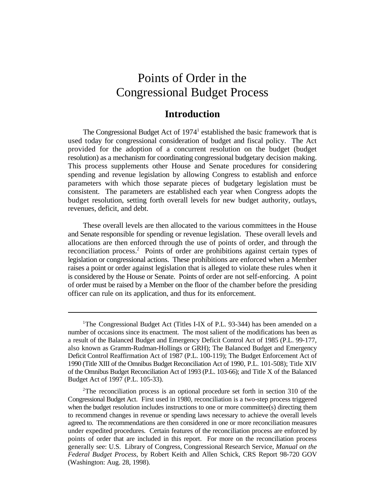## Points of Order in the Congressional Budget Process

#### **Introduction**

The Congressional Budget Act of  $1974<sup>1</sup>$  established the basic framework that is used today for congressional consideration of budget and fiscal policy. The Act provided for the adoption of a concurrent resolution on the budget (budget resolution) as a mechanism for coordinating congressional budgetary decision making. This process supplements other House and Senate procedures for considering spending and revenue legislation by allowing Congress to establish and enforce parameters with which those separate pieces of budgetary legislation must be consistent. The parameters are established each year when Congress adopts the budget resolution, setting forth overall levels for new budget authority, outlays, revenues, deficit, and debt.

These overall levels are then allocated to the various committees in the House and Senate responsible for spending or revenue legislation. These overall levels and allocations are then enforced through the use of points of order, and through the reconciliation process.<sup>2</sup> Points of order are prohibitions against certain types of legislation or congressional actions. These prohibitions are enforced when a Member raises a point or order against legislation that is alleged to violate these rules when it is considered by the House or Senate. Points of order are not self-enforcing. A point of order must be raised by a Member on the floor of the chamber before the presiding officer can rule on its application, and thus for its enforcement.

<sup>&</sup>lt;sup>1</sup>The Congressional Budget Act (Titles I-IX of P.L. 93-344) has been amended on a number of occasions since its enactment. The most salient of the modifications has been as a result of the Balanced Budget and Emergency Deficit Control Act of 1985 (P.L. 99-177, also known as Gramm-Rudman-Hollings or GRH); The Balanced Budget and Emergency Deficit Control Reaffirmation Act of 1987 (P.L. 100-119); The Budget Enforcement Act of 1990 (Title XIII of the Omnibus Budget Reconciliation Act of 1990, P.L. 101-508); Title XIV of the Omnibus Budget Reconciliation Act of 1993 (P.L. 103-66); and Title X of the Balanced Budget Act of 1997 (P.L. 105-33).

 $2^2$ The reconciliation process is an optional procedure set forth in section 310 of the Congressional Budget Act. First used in 1980, reconciliation is a two-step process triggered when the budget resolution includes instructions to one or more committee(s) directing them to recommend changes in revenue or spending laws necessary to achieve the overall levels agreed to. The recommendations are then considered in one or more reconciliation measures under expedited procedures. Certain features of the reconciliation process are enforced by points of order that are included in this report. For more on the reconciliation process generally see: U.S. Library of Congress, Congressional Research Service, *Manual on the Federal Budget Process*, by Robert Keith and Allen Schick, CRS Report 98-720 GOV (Washington: Aug. 28, 1998).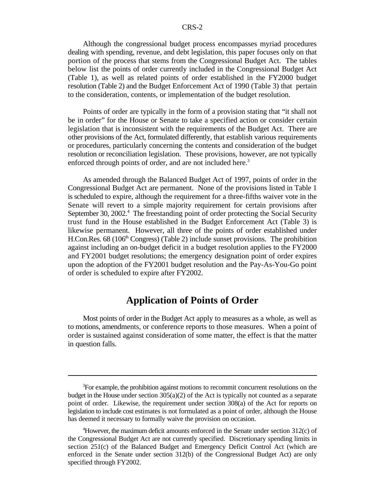Although the congressional budget process encompasses myriad procedures dealing with spending, revenue, and debt legislation, this paper focuses only on that portion of the process that stems from the Congressional Budget Act. The tables below list the points of order currently included in the Congressional Budget Act (Table 1), as well as related points of order established in the FY2000 budget resolution (Table 2) and the Budget Enforcement Act of 1990 (Table 3) that pertain to the consideration, contents, or implementation of the budget resolution.

Points of order are typically in the form of a provision stating that "it shall not be in order" for the House or Senate to take a specified action or consider certain legislation that is inconsistent with the requirements of the Budget Act. There are other provisions of the Act, formulated differently, that establish various requirements or procedures, particularly concerning the contents and consideration of the budget resolution or reconciliation legislation. These provisions, however, are not typically enforced through points of order, and are not included here.<sup>3</sup>

As amended through the Balanced Budget Act of 1997, points of order in the Congressional Budget Act are permanent. None of the provisions listed in Table 1 is scheduled to expire, although the requirement for a three-fifths waiver vote in the Senate will revert to a simple majority requirement for certain provisions after September 30, 2002. $4$  The freestanding point of order protecting the Social Security trust fund in the House established in the Budget Enforcement Act (Table 3) is likewise permanent. However, all three of the points of order established under H.Con.Res.  $68$  (106<sup>th</sup> Congress) (Table 2) include sunset provisions. The prohibition against including an on-budget deficit in a budget resolution applies to the FY2000 and FY2001 budget resolutions; the emergency designation point of order expires upon the adoption of the FY2001 budget resolution and the Pay-As-You-Go point of order is scheduled to expire after FY2002.

#### **Application of Points of Order**

Most points of order in the Budget Act apply to measures as a whole, as well as to motions, amendments, or conference reports to those measures. When a point of order is sustained against consideration of some matter, the effect is that the matter in question falls.

<sup>&</sup>lt;sup>3</sup>For example, the prohibition against motions to recommit concurrent resolutions on the budget in the House under section  $305(a)(2)$  of the Act is typically not counted as a separate point of order. Likewise, the requirement under section 308(a) of the Act for reports on legislation to include cost estimates is not formulated as a point of order, although the House has deemed it necessary to formally waive the provision on occasion.

<sup>&</sup>lt;sup>4</sup>However, the maximum deficit amounts enforced in the Senate under section  $312(c)$  of the Congressional Budget Act are not currently specified. Discretionary spending limits in section 251(c) of the Balanced Budget and Emergency Deficit Control Act (which are enforced in the Senate under section 312(b) of the Congressional Budget Act) are only specified through FY2002.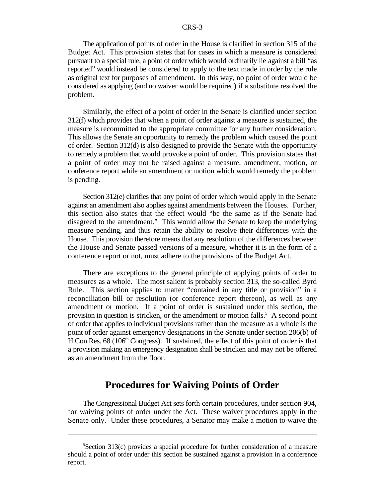The application of points of order in the House is clarified in section 315 of the Budget Act. This provision states that for cases in which a measure is considered pursuant to a special rule, a point of order which would ordinarily lie against a bill "as reported" would instead be considered to apply to the text made in order by the rule as original text for purposes of amendment. In this way, no point of order would be considered as applying (and no waiver would be required) if a substitute resolved the problem.

Similarly, the effect of a point of order in the Senate is clarified under section 312(f) which provides that when a point of order against a measure is sustained, the measure is recommitted to the appropriate committee for any further consideration. This allows the Senate an opportunity to remedy the problem which caused the point of order. Section 312(d) is also designed to provide the Senate with the opportunity to remedy a problem that would provoke a point of order. This provision states that a point of order may not be raised against a measure, amendment, motion, or conference report while an amendment or motion which would remedy the problem is pending.

Section 312(e) clarifies that any point of order which would apply in the Senate against an amendment also applies against amendments between the Houses. Further, this section also states that the effect would "be the same as if the Senate had disagreed to the amendment." This would allow the Senate to keep the underlying measure pending, and thus retain the ability to resolve their differences with the House. This provision therefore means that any resolution of the differences between the House and Senate passed versions of a measure, whether it is in the form of a conference report or not, must adhere to the provisions of the Budget Act.

There are exceptions to the general principle of applying points of order to measures as a whole. The most salient is probably section 313, the so-called Byrd Rule. This section applies to matter "contained in any title or provision" in a reconciliation bill or resolution (or conference report thereon), as well as any amendment or motion. If a point of order is sustained under this section, the provision in question is stricken, or the amendment or motion falls.<sup>5</sup> A second point of order that applies to individual provisions rather than the measure as a whole is the point of order against emergency designations in the Senate under section 206(b) of H.Con.Res.  $68$  (106<sup>th</sup> Congress). If sustained, the effect of this point of order is that a provision making an emergency designation shall be stricken and may not be offered as an amendment from the floor.

#### **Procedures for Waiving Points of Order**

The Congressional Budget Act sets forth certain procedures, under section 904, for waiving points of order under the Act. These waiver procedures apply in the Senate only. Under these procedures, a Senator may make a motion to waive the

<sup>&</sup>lt;sup>5</sup>Section 313(c) provides a special procedure for further consideration of a measure should a point of order under this section be sustained against a provision in a conference report.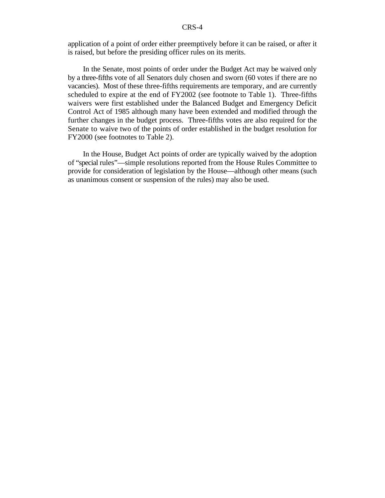application of a point of order either preemptively before it can be raised, or after it is raised, but before the presiding officer rules on its merits.

In the Senate, most points of order under the Budget Act may be waived only by a three-fifths vote of all Senators duly chosen and sworn (60 votes if there are no vacancies). Most of these three-fifths requirements are temporary, and are currently scheduled to expire at the end of FY2002 (see footnote to Table 1). Three-fifths waivers were first established under the Balanced Budget and Emergency Deficit Control Act of 1985 although many have been extended and modified through the further changes in the budget process. Three-fifths votes are also required for the Senate to waive two of the points of order established in the budget resolution for FY2000 (see footnotes to Table 2).

In the House, Budget Act points of order are typically waived by the adoption of "special rules"—simple resolutions reported from the House Rules Committee to provide for consideration of legislation by the House—although other means (such as unanimous consent or suspension of the rules) may also be used.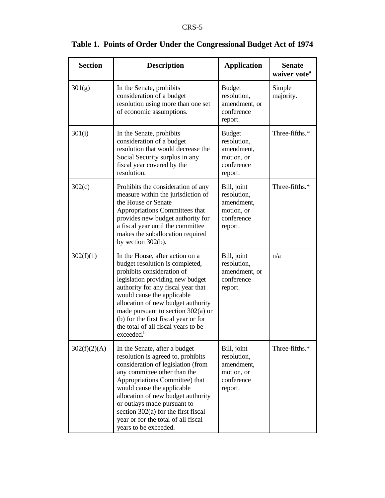| <b>Section</b> | <b>Description</b>                                                                                                                                                                                                                                                                                                                                                                              | <b>Application</b>                                                                | <b>Senate</b><br>waiver vote <sup>a</sup> |
|----------------|-------------------------------------------------------------------------------------------------------------------------------------------------------------------------------------------------------------------------------------------------------------------------------------------------------------------------------------------------------------------------------------------------|-----------------------------------------------------------------------------------|-------------------------------------------|
| 301(g)         | In the Senate, prohibits<br>consideration of a budget<br>resolution using more than one set<br>of economic assumptions.                                                                                                                                                                                                                                                                         | <b>Budget</b><br>resolution,<br>amendment, or<br>conference<br>report.            | Simple<br>majority.                       |
| 301(i)         | In the Senate, prohibits<br>consideration of a budget<br>resolution that would decrease the<br>Social Security surplus in any<br>fiscal year covered by the<br>resolution.                                                                                                                                                                                                                      | <b>Budget</b><br>resolution,<br>amendment,<br>motion, or<br>conference<br>report. | Three-fifths.*                            |
| 302(c)         | Prohibits the consideration of any<br>measure within the jurisdiction of<br>the House or Senate<br>Appropriations Committees that<br>provides new budget authority for<br>a fiscal year until the committee<br>makes the suballocation required<br>by section $302(b)$ .                                                                                                                        | Bill, joint<br>resolution,<br>amendment,<br>motion, or<br>conference<br>report.   | Three-fifths.*                            |
| 302(f)(1)      | In the House, after action on a<br>budget resolution is completed,<br>prohibits consideration of<br>legislation providing new budget<br>authority for any fiscal year that<br>would cause the applicable<br>allocation of new budget authority<br>made pursuant to section $302(a)$ or<br>(b) for the first fiscal year or for<br>the total of all fiscal years to be<br>exceeded. <sup>b</sup> | Bill, joint<br>resolution,<br>amendment, or<br>conference<br>report.              | n/a                                       |
| 302(f)(2)(A)   | In the Senate, after a budget<br>resolution is agreed to, prohibits<br>consideration of legislation (from<br>any committee other than the<br>Appropriations Committee) that<br>would cause the applicable<br>allocation of new budget authority<br>or outlays made pursuant to<br>section $302(a)$ for the first fiscal<br>year or for the total of all fiscal<br>years to be exceeded.         | Bill, joint<br>resolution,<br>amendment,<br>motion, or<br>conference<br>report.   | Three-fifths.*                            |

### **Table 1. Points of Order Under the Congressional Budget Act of 1974**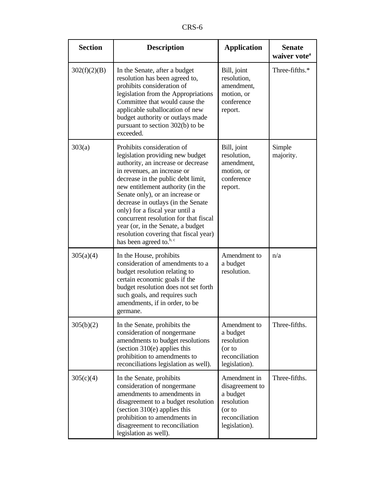| <b>Section</b> | <b>Description</b>                                                                                                                                                                                                                                                                                                                                                                                                                                                                       | <b>Application</b>                                                                                     | <b>Senate</b><br>waiver vote <sup>a</sup> |
|----------------|------------------------------------------------------------------------------------------------------------------------------------------------------------------------------------------------------------------------------------------------------------------------------------------------------------------------------------------------------------------------------------------------------------------------------------------------------------------------------------------|--------------------------------------------------------------------------------------------------------|-------------------------------------------|
| 302(f)(2)(B)   | In the Senate, after a budget<br>resolution has been agreed to,<br>prohibits consideration of<br>legislation from the Appropriations<br>Committee that would cause the<br>applicable suballocation of new<br>budget authority or outlays made<br>pursuant to section $302(b)$ to be<br>exceeded.                                                                                                                                                                                         | Bill, joint<br>resolution,<br>amendment,<br>motion, or<br>conference<br>report.                        | Three-fifths.*                            |
| 303(a)         | Prohibits consideration of<br>legislation providing new budget<br>authority, an increase or decrease<br>in revenues, an increase or<br>decrease in the public debt limit,<br>new entitlement authority (in the<br>Senate only), or an increase or<br>decrease in outlays (in the Senate<br>only) for a fiscal year until a<br>concurrent resolution for that fiscal<br>year (or, in the Senate, a budget<br>resolution covering that fiscal year)<br>has been agreed to. <sup>b, c</sup> | Bill, joint<br>resolution,<br>amendment,<br>motion, or<br>conference<br>report.                        | Simple<br>majority.                       |
| 305(a)(4)      | In the House, prohibits<br>consideration of amendments to a<br>budget resolution relating to<br>certain economic goals if the<br>budget resolution does not set forth<br>such goals, and requires such<br>amendments, if in order, to be<br>germane.                                                                                                                                                                                                                                     | Amendment to<br>a budget<br>resolution.                                                                | n/a                                       |
| 305(b)(2)      | In the Senate, prohibits the<br>consideration of nongermane<br>amendments to budget resolutions<br>(section $310(e)$ applies this<br>prohibition to amendments to<br>reconciliations legislation as well).                                                                                                                                                                                                                                                                               | Amendment to<br>a budget<br>resolution<br>(or to<br>reconciliation<br>legislation).                    | Three-fifths.                             |
| 305(c)(4)      | In the Senate, prohibits<br>consideration of nongermane<br>amendments to amendments in<br>disagreement to a budget resolution<br>(section 310(e) applies this<br>prohibition to amendments in<br>disagreement to reconciliation<br>legislation as well).                                                                                                                                                                                                                                 | Amendment in<br>disagreement to<br>a budget<br>resolution<br>(or to<br>reconciliation<br>legislation). | Three-fifths.                             |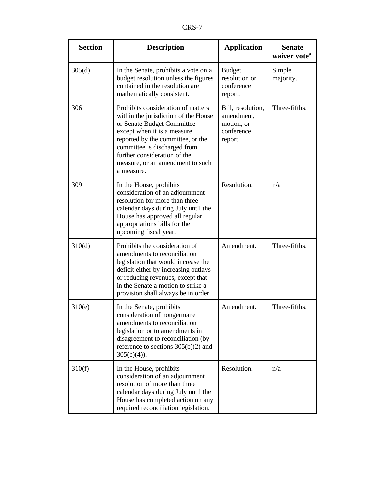| <b>Section</b> | <b>Description</b>                                                                                                                                                                                                                                                                             | <b>Application</b>                                                     | <b>Senate</b><br>waiver vote <sup>a</sup> |
|----------------|------------------------------------------------------------------------------------------------------------------------------------------------------------------------------------------------------------------------------------------------------------------------------------------------|------------------------------------------------------------------------|-------------------------------------------|
| 305(d)         | In the Senate, prohibits a vote on a<br>budget resolution unless the figures<br>contained in the resolution are<br>mathematically consistent.                                                                                                                                                  | <b>Budget</b><br>resolution or<br>conference<br>report.                | Simple<br>majority.                       |
| 306            | Prohibits consideration of matters<br>within the jurisdiction of the House<br>or Senate Budget Committee<br>except when it is a measure<br>reported by the committee, or the<br>committee is discharged from<br>further consideration of the<br>measure, or an amendment to such<br>a measure. | Bill, resolution,<br>amendment,<br>motion, or<br>conference<br>report. | Three-fifths.                             |
| 309            | In the House, prohibits<br>consideration of an adjournment<br>resolution for more than three<br>calendar days during July until the<br>House has approved all regular<br>appropriations bills for the<br>upcoming fiscal year.                                                                 | Resolution.                                                            | n/a                                       |
| 310(d)         | Prohibits the consideration of<br>amendments to reconciliation<br>legislation that would increase the<br>deficit either by increasing outlays<br>or reducing revenues, except that<br>in the Senate a motion to strike a<br>provision shall always be in order.                                | Amendment.                                                             | Three-fifths.                             |
| 310(e)         | In the Senate, prohibits<br>consideration of nongermane<br>amendments to reconciliation<br>legislation or to amendments in<br>disagreement to reconciliation (by<br>reference to sections $305(b)(2)$ and<br>$305(c)(4)$ ).                                                                    | Amendment.                                                             | Three-fifths.                             |
| 310(f)         | In the House, prohibits<br>consideration of an adjournment<br>resolution of more than three<br>calendar days during July until the<br>House has completed action on any<br>required reconciliation legislation.                                                                                | Resolution.                                                            | n/a                                       |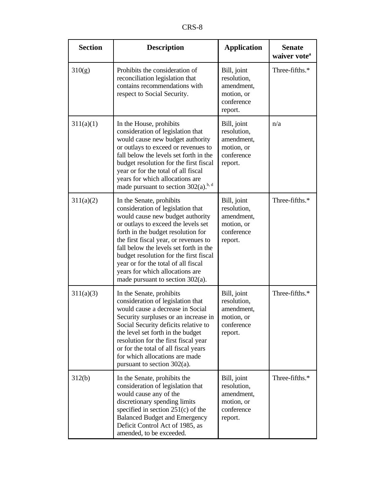| <b>Section</b> | <b>Description</b>                                                                                                                                                                                                                                                                                                                                                                                                           | <b>Application</b>                                                              | <b>Senate</b><br>waiver vote <sup>a</sup> |
|----------------|------------------------------------------------------------------------------------------------------------------------------------------------------------------------------------------------------------------------------------------------------------------------------------------------------------------------------------------------------------------------------------------------------------------------------|---------------------------------------------------------------------------------|-------------------------------------------|
| 310(g)         | Prohibits the consideration of<br>reconciliation legislation that<br>contains recommendations with<br>respect to Social Security.                                                                                                                                                                                                                                                                                            | Bill, joint<br>resolution,<br>amendment,<br>motion, or<br>conference<br>report. | Three-fifths.*                            |
| 311(a)(1)      | In the House, prohibits<br>consideration of legislation that<br>would cause new budget authority<br>or outlays to exceed or revenues to<br>fall below the levels set forth in the<br>budget resolution for the first fiscal<br>year or for the total of all fiscal<br>years for which allocations are<br>made pursuant to section $302(a)$ . <sup>b, d</sup>                                                                 | Bill, joint<br>resolution,<br>amendment,<br>motion, or<br>conference<br>report. | n/a                                       |
| 311(a)(2)      | In the Senate, prohibits<br>consideration of legislation that<br>would cause new budget authority<br>or outlays to exceed the levels set<br>forth in the budget resolution for<br>the first fiscal year, or revenues to<br>fall below the levels set forth in the<br>budget resolution for the first fiscal<br>year or for the total of all fiscal<br>years for which allocations are<br>made pursuant to section $302(a)$ . | Bill, joint<br>resolution,<br>amendment,<br>motion, or<br>conference<br>report. | Three-fifths.*                            |
| 311(a)(3)      | In the Senate, prohibits<br>consideration of legislation that<br>would cause a decrease in Social<br>Security surpluses or an increase in<br>Social Security deficits relative to<br>the level set forth in the budget<br>resolution for the first fiscal year<br>or for the total of all fiscal years<br>for which allocations are made<br>pursuant to section $302(a)$ .                                                   | Bill, joint<br>resolution,<br>amendment,<br>motion, or<br>conference<br>report. | Three-fifths.*                            |
| 312(b)         | In the Senate, prohibits the<br>consideration of legislation that<br>would cause any of the<br>discretionary spending limits<br>specified in section 251(c) of the<br><b>Balanced Budget and Emergency</b><br>Deficit Control Act of 1985, as<br>amended, to be exceeded.                                                                                                                                                    | Bill, joint<br>resolution,<br>amendment,<br>motion, or<br>conference<br>report. | Three-fifths.*                            |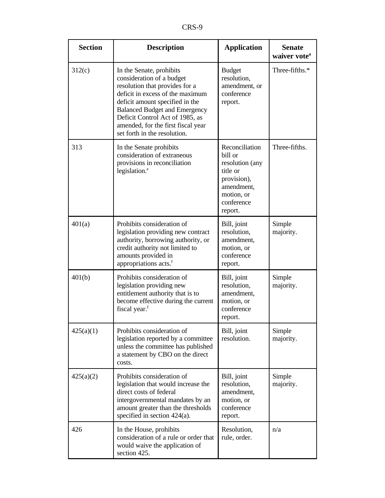| <b>Section</b> | <b>Description</b>                                                                                                                                                                                                                                                                                              | <b>Application</b>                                                                                                           | <b>Senate</b><br>waiver vote <sup>a</sup> |
|----------------|-----------------------------------------------------------------------------------------------------------------------------------------------------------------------------------------------------------------------------------------------------------------------------------------------------------------|------------------------------------------------------------------------------------------------------------------------------|-------------------------------------------|
| 312(c)         | In the Senate, prohibits<br>consideration of a budget<br>resolution that provides for a<br>deficit in excess of the maximum<br>deficit amount specified in the<br><b>Balanced Budget and Emergency</b><br>Deficit Control Act of 1985, as<br>amended, for the first fiscal year<br>set forth in the resolution. | <b>Budget</b><br>resolution,<br>amendment, or<br>conference<br>report.                                                       | Three-fifths.*                            |
| 313            | In the Senate prohibits<br>consideration of extraneous<br>provisions in reconciliation<br>legislation. <sup>e</sup>                                                                                                                                                                                             | Reconciliation<br>bill or<br>resolution (any<br>title or<br>provision),<br>amendment,<br>motion, or<br>conference<br>report. | Three-fifths.                             |
| 401(a)         | Prohibits consideration of<br>legislation providing new contract<br>authority, borrowing authority, or<br>credit authority not limited to<br>amounts provided in<br>appropriations acts. <sup>f</sup>                                                                                                           | Bill, joint<br>resolution,<br>amendment,<br>motion, or<br>conference<br>report.                                              | Simple<br>majority.                       |
| 401(b)         | Prohibits consideration of<br>legislation providing new<br>entitlement authority that is to<br>become effective during the current<br>fiscal year. <sup>f</sup>                                                                                                                                                 | Bill, joint<br>resolution,<br>amendment,<br>motion, or<br>conference<br>report.                                              | Simple<br>majority.                       |
| 425(a)(1)      | Prohibits consideration of<br>legislation reported by a committee<br>unless the committee has published<br>a statement by CBO on the direct<br>costs.                                                                                                                                                           | Bill, joint<br>resolution.                                                                                                   | Simple<br>majority.                       |
| 425(a)(2)      | Prohibits consideration of<br>legislation that would increase the<br>direct costs of federal<br>intergovernmental mandates by an<br>amount greater than the thresholds<br>specified in section $424(a)$ .                                                                                                       | Bill, joint<br>resolution,<br>amendment,<br>motion, or<br>conference<br>report.                                              | Simple<br>majority.                       |
| 426            | In the House, prohibits<br>consideration of a rule or order that<br>would waive the application of<br>section 425.                                                                                                                                                                                              | Resolution,<br>rule, order.                                                                                                  | n/a                                       |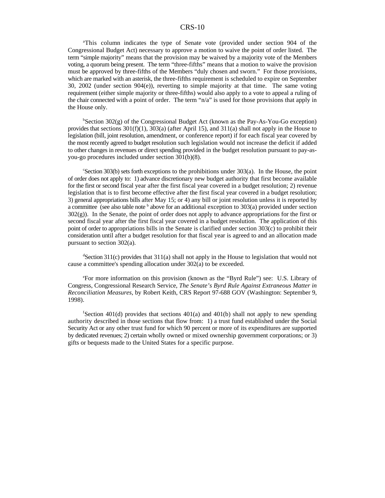#### CRS-10

<sup>a</sup>This column indicates the type of Senate vote (provided under section 904 of the Congressional Budget Act) necessary to approve a motion to waive the point of order listed. The term "simple majority" means that the provision may be waived by a majority vote of the Members voting, a quorum being present. The term "three-fifths" means that a motion to waive the provision must be approved by three-fifths of the Members "duly chosen and sworn." For those provisions, which are marked with an asterisk, the three-fifths requirement is scheduled to expire on September 30, 2002 (under section 904(e)), reverting to simple majority at that time. The same voting requirement (either simple majority or three-fifths) would also apply to a vote to appeal a ruling of the chair connected with a point of order. The term "n/a" is used for those provisions that apply in the House only.

<sup>b</sup>Section 302(g) of the Congressional Budget Act (known as the Pay-As-You-Go exception) provides that sections  $301(f)(1)$ ,  $303(a)$  (after April 15), and  $311(a)$  shall not apply in the House to legislation (bill, joint resolution, amendment, or conference report) if for each fiscal year covered by the most recently agreed to budget resolution such legislation would not increase the deficit if added to other changes in revenues or direct spending provided in the budget resolution pursuant to pay-asyou-go procedures included under section 301(b)(8).

Section 303(b) sets forth exceptions to the prohibitions under  $303(a)$ . In the House, the point of order does not apply to: 1) advance discretionary new budget authority that first become available for the first or second fiscal year after the first fiscal year covered in a budget resolution; 2) revenue legislation that is to first become effective after the first fiscal year covered in a budget resolution; 3) general appropriations bills after May 15; or 4) any bill or joint resolution unless it is reported by a committee (see also table note  $\frac{b}{b}$  above for an additional exception to 303(a) provided under section 302(g)). In the Senate, the point of order does not apply to advance appropriations for the first or second fiscal year after the first fiscal year covered in a budget resolution. The application of this point of order to appropriations bills in the Senate is clarified under section 303(c) to prohibit their consideration until after a budget resolution for that fiscal year is agreed to and an allocation made pursuant to section 302(a).

 $\text{S}_{\text{Section 311(c)}}$  provides that 311(a) shall not apply in the House to legislation that would not cause a committee's spending allocation under 302(a) to be exceeded.

<sup>e</sup>For more information on this provision (known as the "Byrd Rule") see: U.S. Library of Congress, Congressional Research Service, *The Senate's Byrd Rule Against Extraneous Matter in Reconciliation Measures*, by Robert Keith, CRS Report 97-688 GOV (Washington: September 9, 1998).

 ${}^{\text{f}}$ Section 401(d) provides that sections 401(a) and 401(b) shall not apply to new spending authority described in those sections that flow from: 1) a trust fund established under the Social Security Act or any other trust fund for which 90 percent or more of its expenditures are supported by dedicated revenues; 2) certain wholly owned or mixed ownership government corporations; or 3) gifts or bequests made to the United States for a specific purpose.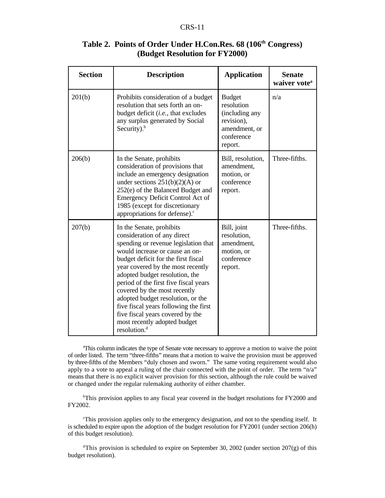#### CRS-11

| <b>Section</b> | <b>Description</b>                                                                                                                                                                                                                                                                                                                                                                                                                                                                                     | <b>Application</b>                                                                                    | <b>Senate</b><br>waiver vote <sup>a</sup> |
|----------------|--------------------------------------------------------------------------------------------------------------------------------------------------------------------------------------------------------------------------------------------------------------------------------------------------------------------------------------------------------------------------------------------------------------------------------------------------------------------------------------------------------|-------------------------------------------------------------------------------------------------------|-------------------------------------------|
| 201(b)         | Prohibits consideration of a budget<br>resolution that sets forth an on-<br>budget deficit ( <i>i.e.</i> , that excludes<br>any surplus generated by Social<br>Security). $b$                                                                                                                                                                                                                                                                                                                          | <b>Budget</b><br>resolution<br>(including any<br>revision),<br>amendment, or<br>conference<br>report. | n/a                                       |
| 206(b)         | In the Senate, prohibits<br>consideration of provisions that<br>include an emergency designation<br>under sections $251(b)(2)(A)$ or<br>252(e) of the Balanced Budget and<br>Emergency Deficit Control Act of<br>1985 (except for discretionary<br>appropriations for defense). <sup>c</sup>                                                                                                                                                                                                           | Bill, resolution,<br>amendment,<br>motion, or<br>conference<br>report.                                | Three-fifths.                             |
| 207(b)         | In the Senate, prohibits<br>consideration of any direct<br>spending or revenue legislation that<br>would increase or cause an on-<br>budget deficit for the first fiscal<br>year covered by the most recently<br>adopted budget resolution, the<br>period of the first five fiscal years<br>covered by the most recently<br>adopted budget resolution, or the<br>five fiscal years following the first<br>five fiscal years covered by the<br>most recently adopted budget<br>resolution. <sup>d</sup> | Bill, joint<br>resolution,<br>amendment,<br>motion, or<br>conference<br>report.                       | Three-fifths.                             |

#### Table 2. Points of Order Under H.Con.Res. 68 (106<sup>th</sup> Congress) **(Budget Resolution for FY2000)**

This column indicates the type of Senate vote necessary to approve a motion to waive the point <sup>a</sup> of order listed. The term "three-fifths" means that a motion to waive the provision must be approved by three-fifths of the Members "duly chosen and sworn." The same voting requirement would also apply to a vote to appeal a ruling of the chair connected with the point of order. The term "n/a" means that there is no explicit waiver provision for this section, although the rule could be waived or changed under the regular rulemaking authority of either chamber.

<sup>b</sup>This provision applies to any fiscal year covered in the budget resolutions for FY2000 and FY2002.

This provision applies only to the emergency designation, and not to the spending itself. It is scheduled to expire upon the adoption of the budget resolution for FY2001 (under section 206(h) of this budget resolution).

<sup>d</sup>This provision is scheduled to expire on September 30, 2002 (under section 207(g) of this budget resolution).